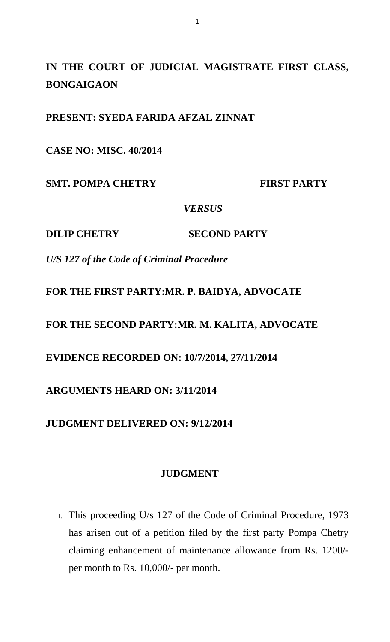**IN THE COURT OF JUDICIAL MAGISTRATE FIRST CLASS, BONGAIGAON**

**PRESENT: SYEDA FARIDA AFZAL ZINNAT**

**CASE NO: MISC. 40/2014**

**SMT. POMPA CHETRY FIRST PARTY** 

*VERSUS*

**DILIP CHETRY SECOND PARTY**

*U/S 127 of the Code of Criminal Procedure*

**FOR THE FIRST PARTY:MR. P. BAIDYA, ADVOCATE**

**FOR THE SECOND PARTY:MR. M. KALITA, ADVOCATE**

**EVIDENCE RECORDED ON: 10/7/2014, 27/11/2014**

**ARGUMENTS HEARD ON: 3/11/2014**

**JUDGMENT DELIVERED ON: 9/12/2014**

## **JUDGMENT**

1. This proceeding U/s 127 of the Code of Criminal Procedure, 1973 has arisen out of a petition filed by the first party Pompa Chetry claiming enhancement of maintenance allowance from Rs. 1200/ per month to Rs. 10,000/- per month.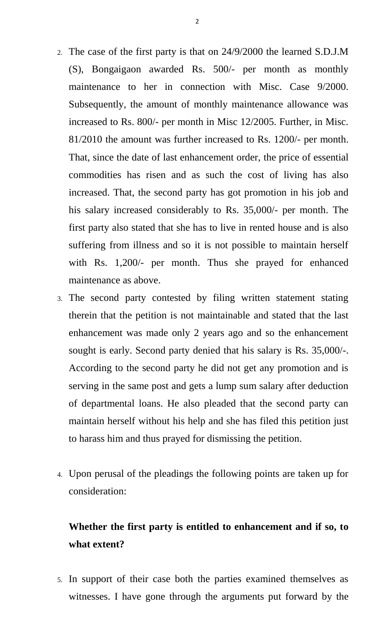- 2. The case of the first party is that on 24/9/2000 the learned S.D.J.M (S), Bongaigaon awarded Rs. 500/- per month as monthly maintenance to her in connection with Misc. Case 9/2000. Subsequently, the amount of monthly maintenance allowance was increased to Rs. 800/- per month in Misc 12/2005. Further, in Misc. 81/2010 the amount was further increased to Rs. 1200/- per month. That, since the date of last enhancement order, the price of essential commodities has risen and as such the cost of living has also increased. That, the second party has got promotion in his job and his salary increased considerably to Rs. 35,000/- per month. The first party also stated that she has to live in rented house and is also suffering from illness and so it is not possible to maintain herself with Rs. 1,200/- per month. Thus she prayed for enhanced maintenance as above.
- 3. The second party contested by filing written statement stating therein that the petition is not maintainable and stated that the last enhancement was made only 2 years ago and so the enhancement sought is early. Second party denied that his salary is Rs. 35,000/-. According to the second party he did not get any promotion and is serving in the same post and gets a lump sum salary after deduction of departmental loans. He also pleaded that the second party can maintain herself without his help and she has filed this petition just to harass him and thus prayed for dismissing the petition.
- 4. Upon perusal of the pleadings the following points are taken up for consideration:

## **Whether the first party is entitled to enhancement and if so, to what extent?**

5. In support of their case both the parties examined themselves as witnesses. I have gone through the arguments put forward by the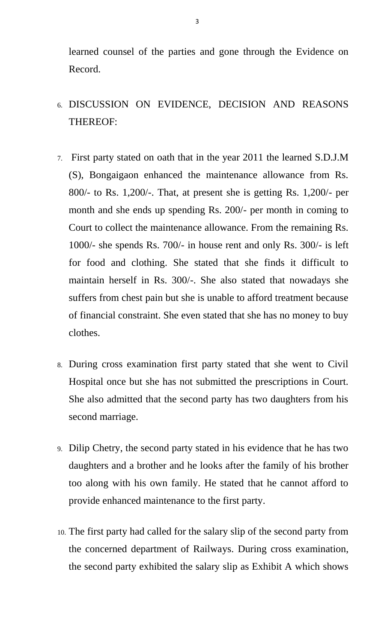learned counsel of the parties and gone through the Evidence on Record.

- 6. DISCUSSION ON EVIDENCE, DECISION AND REASONS THEREOF:
- 7. First party stated on oath that in the year 2011 the learned S.D.J.M (S), Bongaigaon enhanced the maintenance allowance from Rs. 800/- to Rs. 1,200/-. That, at present she is getting Rs. 1,200/- per month and she ends up spending Rs. 200/- per month in coming to Court to collect the maintenance allowance. From the remaining Rs. 1000/- she spends Rs. 700/- in house rent and only Rs. 300/- is left for food and clothing. She stated that she finds it difficult to maintain herself in Rs. 300/-. She also stated that nowadays she suffers from chest pain but she is unable to afford treatment because of financial constraint. She even stated that she has no money to buy clothes.
- 8. During cross examination first party stated that she went to Civil Hospital once but she has not submitted the prescriptions in Court. She also admitted that the second party has two daughters from his second marriage.
- 9. Dilip Chetry, the second party stated in his evidence that he has two daughters and a brother and he looks after the family of his brother too along with his own family. He stated that he cannot afford to provide enhanced maintenance to the first party.
- 10. The first party had called for the salary slip of the second party from the concerned department of Railways. During cross examination, the second party exhibited the salary slip as Exhibit A which shows